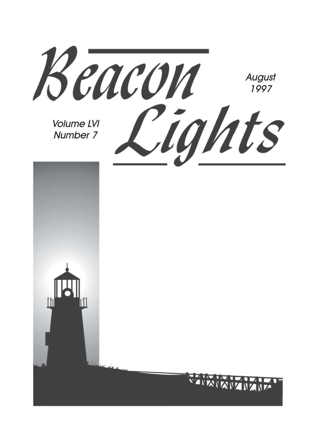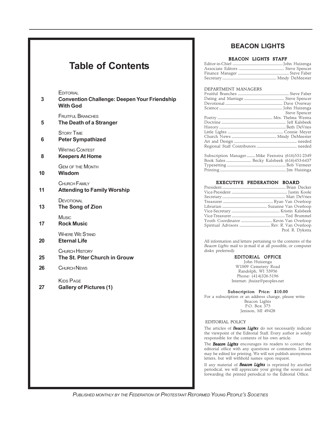## **Table of Contents**

**EDITORIAL** 

| 3  | <b>CUITORIAL</b><br><b>Convention Challenge: Deepen Your Friendship</b><br><b>With God</b> |
|----|--------------------------------------------------------------------------------------------|
| 5  | <b>FRUITFUL BRANCHES</b><br>The Death of a Stranger                                        |
| 6  | <b>STORY TIME</b><br><b>Peter Sympathized</b>                                              |
| 8  | <b>WRITING CONTEST</b><br><b>Keepers At Home</b>                                           |
| 10 | <b>GEM OF THE MONTH</b><br>Wisdom                                                          |
| 11 | CHURCH FAMILY<br><b>Attending to Family Worship</b>                                        |
| 13 | DEVOTIONAL<br>The Song of Zion                                                             |
| 17 | <b>Music</b><br><b>Rock Music</b>                                                          |
| 20 | <b>WHERE WE STAND</b><br><b>Eternal Life</b>                                               |
| 25 | CHURCH HISTORY<br>The St. Piter Church in Grouw                                            |
| 26 | <b>CHURCH NEWS</b>                                                                         |
|    |                                                                                            |

KIDS PAGE

**27 Gallery of Pictures (1)**

## **BEACON LIGHTS**

#### BEACON LIGHTS STAFF

#### DEPARTMENT MANAGERS

| Steve Spencer |
|---------------|
|               |
|               |
|               |
|               |
|               |
|               |
|               |
|               |

| Subscription Manager Mike Feenstra (616)531-2349 |  |
|--------------------------------------------------|--|
|                                                  |  |
|                                                  |  |
|                                                  |  |

#### EXECUTIVE FEDERATION BOARD

| Prof. R. Dykstra |
|------------------|
|                  |

All information and letters pertaining to the contents of the *Beacon Lights* mail to (e-mail if at all possible, or computer disks preferred):

#### EDITORIAL OFFICE

John Huizenga W1009 Cemetery Road Randolph, WI 53956 Phone: (414)326-5196 Internet: jhuize@peoples.net

Subscription Price: \$10.00

For a subscription or an address change, please write: Beacon Lights P.O. Box 375 Jenison, MI 49428

EDITORIAL POLICY

The articles of *Beacon Lights* do not necessarily indicate the viewpoint of the Editorial Staff. Every author is solely responsible for the contents of his own article.

The *Beacon Lights* encourages its readers to contact the editorial office with any questions or comments. Letters may be edited for printing. We will not publish anonymous letters, but will withhold names upon request.

If any material of *Beacon Lights* is reprinted by another periodical, we will appreciate your giving the source and forwarding the printed periodical to the Editorial Office.

*PUBLISHED MONTHLY BY THE FEDERATION OF PROTESTANT REFORMED YOUNG PEOPLE'S SOCIETIES*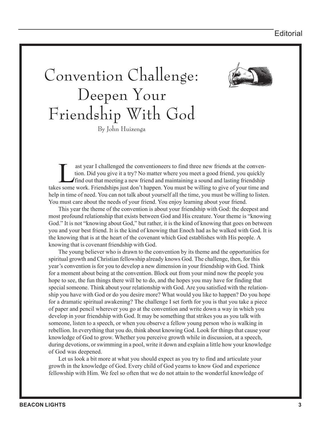## Convention Challenge: Deepen Your Friendship With God By John Huizenga

ast year I challenged the conventioneers to find three new friends at the convention. Did you give it a try? No matter where you meet a good friend, you quickly find out that meeting a new friend and maintaining a sound and lasting friendship takes some work. Friendships just don't happen. You must be willing to give of your time and help in time of need. You can not talk about yourself all the time, you must be willing to listen. You must care about the needs of your friend. You enjoy learning about your friend.

This year the theme of the convention is about your friendship with God: the deepest and most profound relationship that exists between God and His creature. Your theme is "knowing God." It is not "knowing about God," but rather, it is the kind of knowing that goes on between you and your best friend. It is the kind of knowing that Enoch had as he walked with God. It is the knowing that is at the heart of the covenant which God establishes with His people. A knowing that is covenant friendship with God.

The young believer who is drawn to the convention by its theme and the opportunities for spiritual growth and Christian fellowship already knows God. The challenge, then, for this year's convention is for you to develop a new dimension in your friendship with God. Think for a moment about being at the convention. Block out from your mind now the people you hope to see, the fun things there will be to do, and the hopes you may have for finding that special someone. Think about your relationship with God. Are you satisfied with the relationship you have with God or do you desire more? What would you like to happen? Do you hope for a dramatic spiritual awakening? The challenge I set forth for you is that you take a piece of paper and pencil wherever you go at the convention and write down a way in which you develop in your friendship with God. It may be something that strikes you as you talk with someone, listen to a speech, or when you observe a fellow young person who is walking in rebellion. In everything that you do, think about knowing God. Look for things that cause your knowledge of God to grow. Whether you perceive growth while in discussion, at a speech, during devotions, or swimming in a pool, write it down and explain a little how your knowledge of God was deepened.

Let us look a bit more at what you should expect as you try to find and articulate your growth in the knowledge of God. Every child of God yearns to know God and experience fellowship with Him. We feel so often that we do not attain to the wonderful knowledge of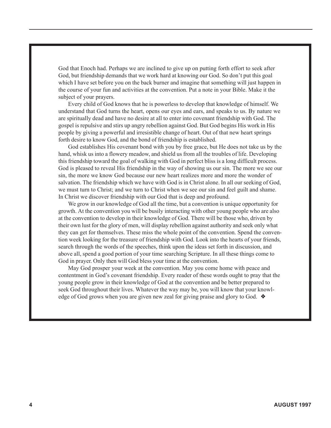God that Enoch had. Perhaps we are inclined to give up on putting forth effort to seek after God, but friendship demands that we work hard at knowing our God. So don't put this goal which I have set before you on the back burner and imagine that something will just happen in the course of your fun and activities at the convention. Put a note in your Bible. Make it the subject of your prayers.

Every child of God knows that he is powerless to develop that knowledge of himself. We understand that God turns the heart, opens our eyes and ears, and speaks to us. By nature we are spiritually dead and have no desire at all to enter into covenant friendship with God. The gospel is repulsive and stirs up angry rebellion against God. But God begins His work in His people by giving a powerful and irresistible change of heart. Out of that new heart springs forth desire to know God, and the bond of friendship is established.

God establishes His covenant bond with you by free grace, but He does not take us by the hand, whisk us into a flowery meadow, and shield us from all the troubles of life. Developing this friendship toward the goal of walking with God in perfect bliss is a long difficult process. God is pleased to reveal His friendship in the way of showing us our sin. The more we see our sin, the more we know God because our new heart realizes more and more the wonder of salvation. The friendship which we have with God is in Christ alone. In all our seeking of God, we must turn to Christ; and we turn to Christ when we see our sin and feel guilt and shame. In Christ we discover friendship with our God that is deep and profound.

We grow in our knowledge of God all the time, but a convention is unique opportunity for growth. At the convention you will be busily interacting with other young people who are also at the convention to develop in their knowledge of God. There will be those who, driven by their own lust for the glory of men, will display rebellion against authority and seek only what they can get for themselves. These miss the whole point of the convention. Spend the convention week looking for the treasure of friendship with God. Look into the hearts of your friends, search through the words of the speeches, think upon the ideas set forth in discussion, and above all, spend a good portion of your time searching Scripture. In all these things come to God in prayer. Only then will God bless your time at the convention.

May God prosper your week at the convention. May you come home with peace and contentment in God's covenant friendship. Every reader of these words ought to pray that the young people grow in their knowledge of God at the convention and be better prepared to seek God throughout their lives. Whatever the way may be, you will know that your knowledge of God grows when you are given new zeal for giving praise and glory to God. ❖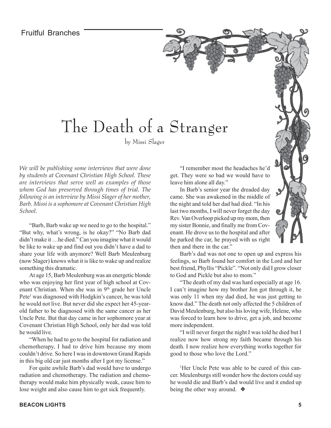## The Death of a Stranger

by Missi Slager

*We will be publishing some interviews that were done by students at Covenant Christian High School. These are interviews that serve well as examples of those whom God has preserved through times of trial. The following is an interview by Missi Slager of her mother, Barb. Missi is a sophomore at Covenant Christian High School.*

"Barb, Barb wake up we need to go to the hospital." "But why, what's wrong, is he okay?" "No Barb dad didn't make it …he died." Can you imagine what it would be like to wake up and find out you didn't have a dad to share your life with anymore? Well Barb Meulenburg (now Slager) knows what it is like to wake up and realize something this dramatic.

At age 15, Barb Meulenburg was an energetic blonde who was enjoying her first year of high school at Covenant Christian. When she was in  $9<sup>th</sup>$  grade her Uncle Pete<sup>1</sup> was diagnosed with Hodgkin's cancer, he was told he would not live. But never did she expect her 45-yearold father to be diagnosed with the same cancer as her Uncle Pete. But that day came in her sophomore year at Covenant Christian High School, only her dad was told he would live.

"When he had to go to the hospital for radiation and chemotherapy, I had to drive him because my mom couldn't drive. So here I was in downtown Grand Rapids in this big old car just months after I got my license."

For quite awhile Barb's dad would have to undergo radiation and chemotherapy. The radiation and chemotherapy would make him physically weak, cause him to lose weight and also cause him to get sick frequently.

"I remember most the headaches he'd get. They were so bad we would have to leave him alone all day."

In Barb's senior year the dreaded day came. She was awakened in the middle of the night and told her dad had died. "In his last two months, I will never forget the day Rev. Van Overloop picked up my mom, then my sister Bonnie, and finally me from Covenant. He drove us to the hospital and after he parked the car, he prayed with us right then and there in the car."

Barb's dad was not one to open up and express his feelings, so Barb found her comfort in the Lord and her best friend, Phyllis "Pickle". "Not only did I grow closer to God and Pickle but also to mom."

"The death of my dad was hard especially at age 16. I can't imagine how my brother Jon got through it, he was only 11 when my dad died, he was just getting to know dad." The death not only affected the 5 children of David Meulenburg, but also his loving wife, Helene, who was forced to learn how to drive, get a job, and become more independent.

"I will never forget the night I was told he died but I realize now how strong my faith became through his death. I now realize how everything works together for good to those who love the Lord."

1 Her Uncle Pete was able to be cured of this cancer. Meulenburgs still wonder how the doctors could say he would die and Barb's dad would live and it ended up being the other way around. ❖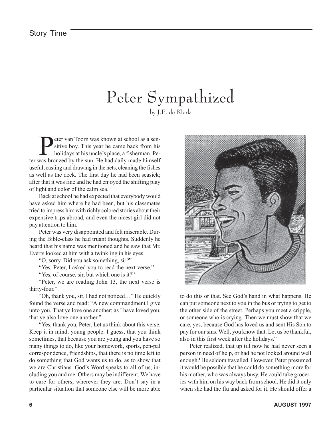## Peter Sympathized by J.P. de Klerk

**Peter van Toorn was known at school as a sensitive boy.** This year he came back from his holidays at his uncle's place, a fisherman. Pesitive boy. This year he came back from his ter was bronzed by the sun. He had daily made himself useful, casting and drawing in the nets, cleaning the fishes as well as the deck. The first day he had been seasick; after that it was fine and he had enjoyed the shifting play of light and color of the calm sea.

Back at school he had expected that everybody would have asked him where he had been, but his classmates tried to impress him with richly colored stories about their expensive trips abroad, and even the nicest girl did not pay attention to him.

Peter was very disappointed and felt miserable. During the Bible-class he had truant thoughts. Suddenly he heard that his name was mentioned and he saw that Mr. Everts looked at him with a twinkling in his eyes.

"O, sorry. Did you ask something, sir?"

"Yes, Peter, I asked you to read the next verse."

"Yes, of course, sir, but which one is it?"

"Peter, we are reading John 13, the next verse is thirty-four."

"Oh, thank you, sir, I had not noticed…" He quickly found the verse and read: "A new commandment I give unto you, That ye love one another; as I have loved you, that ye also love one another."

"Yes, thank you, Peter. Let us think about this verse. Keep it in mind, young people. I guess, that you think sometimes, that because you are young and you have so many things to do, like your homework, sports, pen-pal correspondence, friendships, that there is no time left to do something that God wants us to do, as to show that we are Christians. God's Word speaks to all of us, including you and me. Others may be indifferent. We have to care for others, wherever they are. Don't say in a particular situation that someone else will be more able



to do this or that. See God's hand in what happens. He can put someone next to you in the bus or trying to get to the other side of the street. Perhaps you meet a cripple, or someone who is crying. Then we must show that we care, yes, because God has loved us and sent His Son to pay for our sins. Well, you know that. Let us be thankful, also in this first week after the holidays."

Peter realized, that up till now he had never seen a person in need of help, or had he not looked around well enough? He seldom travelled. However, Peter presumed it would be possible that he could do something more for his mother, who was always busy. He could take groceries with him on his way back from school. He did it only when she had the flu and asked for it. He should offer a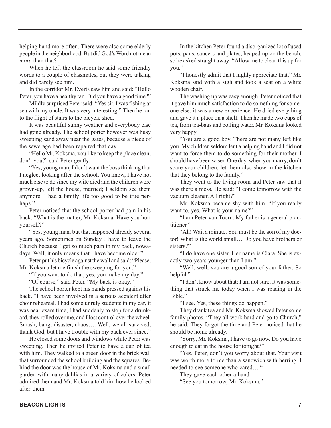helping hand more often. There were also some elderly people in the neighborhood. But did God's Word not mean *more* than that?

When he left the classroom he said some friendly words to a couple of classmates, but they were talking and did barely see him.

In the corridor Mr. Everts saw him and said: "Hello Peter, you have a healthy tan. Did you have a good time?"

Mildly surprised Peter said: "Yes sir. I was fishing at sea with my uncle. It was very interesting." Then he ran to the flight of stairs to the bicycle shed.

It was beautiful sunny weather and everybody else had gone already. The school porter however was busy sweeping sand away near the gates, because a piece of the sewerage had been repaired that day.

"Hello Mr. Koksma, you like to keep the place clean, don't you?" said Peter gently.

"Yes, young man, I don't want the boss thinking that I neglect looking after the school. You know, I have not much else to do since my wife died and the children were grown-up, left the house, married; I seldom see them anymore. I had a family life too good to be true perhaps."

Peter noticed that the school-porter had pain in his back. "What is the matter, Mr. Koksma. Have you hurt yourself?"

"Yes, young man, but that happened already several years ago. Sometimes on Sunday I have to leave the Church because I get so much pain in my back, nowadays. Well, it only means that I have become older."

Peter put his bicycle against the wall and said: "Please, Mr. Koksma let me finish the sweeping for you."

"If you want to do that, yes, you make my day." "Of course," said Peter. "My back is okay."

The school porter kept his hands pressed against his back. "I have been involved in a serious accident after choir rehearsal. I had some unruly students in my car, it was near exam time, I had suddenly to stop for a drunkard, they rolled over me, and I lost control over the wheel. Smash, bang, disaster, chaos…. Well, we all survived, thank God, but I have trouble with my back ever since."

He closed some doors and windows while Peter was sweeping. Then he invited Peter to have a cup of tea with him. They walked to a green door in the brick wall that surrounded the school building and the squares. Behind the door was the house of Mr. Koksma and a small garden with many dahlias in a variety of colors. Peter admired them and Mr. Koksma told him how he looked after them.

In the kitchen Peter found a disorganized lot of used pots, pans, saucers and plates, heaped up on the bench, so he asked straight away: "Allow me to clean this up for you."

"I honestly admit that I highly appreciate that," Mr. Koksma said with a sigh and took a seat on a white wooden chair.

The washing up was easy enough. Peter noticed that it gave him much satisfaction to do something for someone else; it was a new experience. He dried everything and gave it a place on a shelf. Then he made two cups of tea, from tea-bags and boiling water. Mr. Koksma looked very happy.

"You are a good boy. There are not many left like you. My children seldom lent a helping hand and I did not want to force them to do something for their mother. I should have been wiser. One day, when you marry, don't spare your children, let them also show in the kitchen that they belong to the family."

They went to the living room and Peter saw that it was there a mess. He said: "I come tomorrow with the vacuum cleaner. All right?"

Mr. Koksma became shy with him. "If you really want to, yes. What is your name?"

"I am Peter van Toorn. My father is a general practitioner."

"Ah! Wait a minute. You must be the son of my doctor! What is the world small… Do you have brothers or sisters?"

"I do have one sister. Her name is Clara. She is exactly two years younger than I am."

"Well, well, you are a good son of your father. So helpful."

"I don't know about that; I am not sure. It was something that struck me today when I was reading in the Bible."

"I see. Yes, these things do happen."

They drank tea and Mr. Koksma showed Peter some family photos. "They all work hard and go to Church," he said. They forgot the time and Peter noticed that he should be home already.

"Sorry, Mr. Koksma, I have to go now. Do you have enough to eat in the house for tonight?"

"Yes, Peter, don't you worry about that. Your visit was worth more to me than a sandwich with herring. I needed to see someone who cared…."

They gave each other a hand.

"See you tomorrow, Mr. Koksma."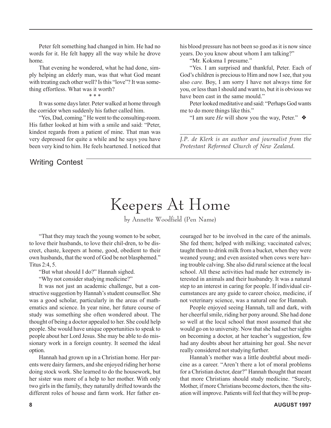Peter felt something had changed in him. He had no words for it. He felt happy all the way while he drove home.

That evening he wondered, what he had done, simply helping an elderly man, was that what God meant with treating each other well? Is this "love"? It was something effortless. What was it worth?

\* \* \*

It was some days later. Peter walked at home through the corridor when suddenly his father called him.

"Yes, Dad, coming." He went to the consulting-room. His father looked at him with a smile and said: "Peter, kindest regards from a patient of mine. That man was very depressed for quite a while and he says you have been very kind to him. He feels heartened. I noticed that

Writing Contest

his blood pressure has not been so good as it is now since years. Do you know about whom I am talking?"

"Mr. Koksma I presume."

"Yes. I am surprised and thankful, Peter. Each of God's children is precious to Him and now I see, that you also *care.* Boy, I am sorry I have not always time for you, or less than I should and want to, but it is obvious we have been cast in the same mould."

Peter looked meditative and said: "Perhaps God wants me to do more things like this."

"I am sure *He* will show you the way, Peter." ❖

*\_\_\_\_\_\_\_\_\_\_\_\_\_\_\_\_\_\_\_\_\_\_\_\_\_\_\_\_\_\_\_\_\_\_\_\_\_\_\_\_\_\_ J.P. de Klerk is an author and journalist from the Protestant Reformed Church of New Zealand.*

## Keepers At Home

by Annette Woodfield (Pen Name)

"That they may teach the young women to be sober, to love their husbands, to love their chil-dren, to be discreet, chaste, keepers at home, good, obedient to their own husbands, that the word of God be not blasphemed." Titus 2:4, 5.

"But what should I do?" Hannah sighed.

"Why not consider studying medicine?"

It was not just an academic challenge, but a constructive suggestion by Hannah's student counsellor. She was a good scholar, particularly in the areas of mathematics and science. In year nine, her future course of study was something she often wondered about. The thought of being a doctor appealed to her. She could help people. She would have unique opportunities to speak to people about her Lord Jesus. She may be able to do missionary work in a foreign country. It seemed the ideal option.

Hannah had grown up in a Christian home. Her parents were dairy farmers, and she enjoyed riding her horse doing stock work. She learned to do the housework, but her sister was more of a help to her mother. With only two girls in the family, they naturally drifted towards the different roles of house and farm work. Her father encouraged her to be involved in the care of the animals. She fed them; helped with milking; vaccinated calves; taught them to drink milk from a bucket, when they were weaned young; and even assisted when cows were having trouble calving. She also did rural science at the local school. All these activities had made her extremely interested in animals and their husbandry. It was a natural step to an interest in caring for people. If individual circumstances are any guide to career choice, medicine, if not veterinary science, was a natural one for Hannah.

People enjoyed seeing Hannah, tall and dark, with her cheerful smile, riding her pony around. She had done so well at the local school that most assumed that she would go on to university. Now that she had set her sights on becoming a doctor, at her teacher's suggestion, few had any doubts about her attaining her goal. She never really considered not studying further.

Hannah's mother was a little doubtful about medicine as a career. "Aren't there a lot of moral problems for a Christian doctor, dear?" Hannah thought that meant that more Christians should study medicine. "Surely, Mother, if more Christians become doctors, then the situation will improve. Patients will feel that they will be prop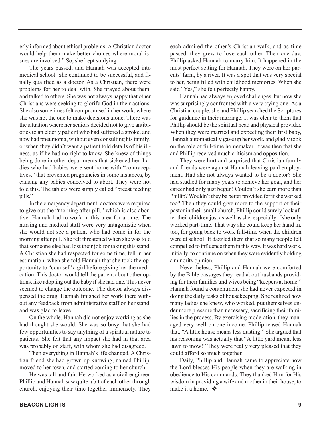erly informed about ethical problems. A Christian doctor would help them make better choices where moral issues are involved." So, she kept studying.

The years passed, and Hannah was accepted into medical school. She continued to be successful, and finally qualified as a doctor. As a Christian, there were problems for her to deal with. She prayed about them, and talked to others. She was not always happy that other Christians were seeking to glorify God in their actions. She also sometimes felt compromised in her work, where she was not the one to make decisions alone. There was the situation where her seniors decided not to give antibiotics to an elderly patient who had suffered a stroke, and now had pneumonia, without even consulting his family; or when they didn't want a patient told details of his illness, as if he had no right to know. She knew of things being done in other departments that sickened her. Ladies who had babies were sent home with "contraceptives," that prevented pregnancies in some instances, by causing any babies conceived to abort. They were not told this. The tablets were simply called "breast feeding pills."

In the emergency department, doctors were required to give out the "morning after pill," which is also abortive. Hannah had to work in this area for a time. The nursing and medical staff were very antagonistic when she would not see a patient who had come in for the morning after pill. She felt threatened when she was told that someone else had lost their job for taking this stand. A Christian she had respected for some time, fell in her estimation, when she told Hannah that she took the opportunity to "counsel" a girl before giving her the medication. This doctor would tell the patient about other options, like adopting out the baby if she had one. This never seemed to change the outcome. The doctor always dispensed the drug. Hannah finished her work there without any feedback from administrative staff on her stand, and was glad to leave.

On the whole, Hannah did not enjoy working as she had thought she would. She was so busy that she had few opportunities to say anything of a spiritual nature to patients. She felt that any impact she had in that area was probably on staff, with whom she had disagreed.

Then everything in Hannah's life changed. A Christian friend she had grown up knowing, named Phillip, moved to her town, and started coming to her church.

He was tall and fair. He worked as a civil engineer. Phillip and Hannah saw quite a bit of each other through church, enjoying their time together immensely. They

each admired the other's Christian walk, and as time passed, they grew to love each other. Then one day, Phillip asked Hannah to marry him. It happened in the most perfect setting for Hannah. They were on her parents' farm, by a river. It was a spot that was very special to her, being filled with childhood memories. When she said "Yes," she felt perfectly happy.

Hannah had always enjoyed challenges, but now she was surprisingly confronted with a very trying one. As a Christian couple, she and Phillip searched the Scriptures for guidance in their marriage. It was clear to them that Phillip should be the spiritual head and physical provider. When they were married and expecting their first baby, Hannah automatically gave up her work, and gladly took on the role of full-time homemaker. It was then that she and Phillip received much criticism and opposition.

They were hurt and surprised that Christian family and friends were against Hannah leaving paid employment. Had she not always wanted to be a doctor? She had studied for many years to achieve her goal, and her career had only just begun! Couldn't she earn more than Phillip? Wouldn't they be better provided for if she worked too? Then they could give more to the support of their pastor in their small church. Phillip could surely look after their children just as well as she, especially if she only worked part-time. That way she could keep her hand in, too, for going back to work full-time when the children were at school! It dazzled them that so many people felt compelled to influence them in this way. It was hard work, initially, to continue on when they were evidently holding a minority opinion.

Nevertheless, Phillip and Hannah were comforted by the Bible passages they read about husbands providing for their families and wives being "keepers at home." Hannah found a contentment she had never expected in doing the daily tasks of housekeeping. She realized how many ladies she knew, who worked, put themselves under more pressure than necessary, sacrificing their families in the process. By exercising moderation, they managed very well on one income. Phillip teased Hannah that, "A little house means less dusting." She argued that his reasoning was actually that "A little yard meant less lawn to mow!" They were really very pleased that they could afford so much together.

Daily, Phillip and Hannah came to appreciate how the Lord blesses His people when they are walking in obedience to His commands. They thanked Him for His wisdom in providing a wife and mother in their house, to make it a home. ❖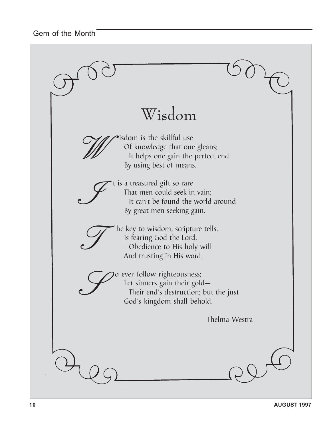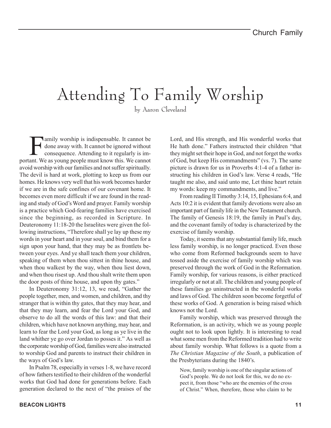# Attending To Family Worship

by Aaron Cleveland

Family worship is indispensable. It cannot be<br>done away with. It cannot be ignored without<br>consequence. Attending to it regularly is im-<br>ant. We as young people must know this. We cannot done away with. It cannot be ignored without consequence. Attending to it regularly is important. We as young people must know this. We cannot avoid worship with our families and not suffer spiritually. The devil is hard at work, plotting to keep us from our homes. He knows very well that his work becomes harder if we are in the safe confines of our covenant home. It becomes even more difficult if we are found in the reading and study of God's Word and prayer. Family worship is a practice which God-fearing families have exercised since the beginning, as recorded in Scripture. In Deuteronomy 11:18-20 the Israelites were given the following instructions, "Therefore shall ye lay up these my words in your heart and in your soul, and bind them for a sign upon your hand, that they may be as frontlets between your eyes. And ye shall teach them your children, speaking of them when thou sittest in thine house, and when thou walkest by the way, when thou liest down, and when thou risest up. And thou shalt write them upon the door posts of thine house, and upon thy gates."

In Deuteronomy 31:12, 13, we read, "Gather the people together, men, and women, and children, and thy stranger that is within thy gates, that they may hear, and that they may learn, and fear the Lord your God, and observe to do all the words of this law: and that their children, which have not known anything, may hear, and learn to fear the Lord your God, as long as ye live in the land whither ye go over Jordan to posses it." As well as the corporate worship of God, families were also instructed to worship God and parents to instruct their children in the ways of God's law.

In Psalm 78, especially in verses 1-8, we have record of how fathers testified to their children of the wonderful works that God had done for generations before. Each generation declared to the next of "the praises of the Lord, and His strength, and His wonderful works that He hath done." Fathers instructed their children "that they might set their hope in God, and not forget the works of God, but keep His commandments" (vs. 7). The same picture is drawn for us in Proverbs 4:1-4 of a father instructing his children in God's law. Verse 4 reads, "He taught me also, and said unto me, Let thine heart retain my words: keep my commandments, and live."

From reading II Timothy 3:14, 15, Ephesians 6:4, and Acts 10:2 it is evident that family devotions were also an important part of family life in the New Testament church. The family of Genesis 18:19, the family in Paul's day, and the covenant family of today is characterized by the exercise of family worship.

Today, it seems that any substantial family life, much less family worship, is no longer practiced. Even those who come from Reformed backgrounds seem to have tossed aside the exercise of family worship which was preserved through the work of God in the Reformation. Family worship, for various reasons, is either practiced irregularly or not at all. The children and young people of these families go uninstructed in the wonderful works and laws of God. The children soon become forgetful of these works of God. A generation is being raised which knows not the Lord.

Family worship, which was preserved through the Reformation, is an activity, which we as young people ought not to look upon lightly. It is interesting to read what some men from the Reformed tradition had to write about family worship. What follows is a quote from a *The Christian Magazine of the South*, a publication of the Presbyterians during the 1840's.

Now, family worship is one of the singular actions of God's people. We do not look for this, we do no expect it, from those "who are the enemies of the cross of Christ." When, therefore, those who claim to be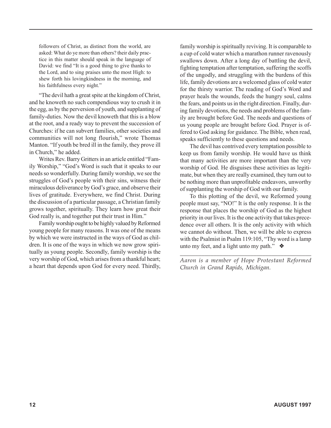followers of Christ, as distinct from the world, are asked: What do ye more than others? their daily practice in this matter should speak in the language of David: we find "It is a good thing to give thanks to the Lord, and to sing praises unto the most High: to shew forth his lovingkindness in the morning, and his faithfulness every night."

"The devil hath a great spite at the kingdom of Christ, and he knoweth no such compendious way to crush it in the egg, as by the perversion of youth, and supplanting of family-duties. Now the devil knoweth that this is a blow at the root, and a ready way to prevent the succession of Churches: if he can subvert families, other societies and communities will not long flourish," wrote Thomas Manton. "If youth be bred ill in the family, they prove ill in Church," he added.

Writes Rev. Barry Gritters in an article entitled "Family Worship," "God's Word is such that it speaks to our needs so wonderfully. During family worship, we see the struggles of God's people with their sins, witness their miraculous deliverance by God's grace, and observe their lives of gratitude. Everywhere, we find Christ. During the discussion of a particular passage, a Christian family grows together, spiritually. They learn how great their God really is, and together put their trust in Him."

Family worship ought to be highly valued by Reformed young people for many reasons. It was one of the means by which we were instructed in the ways of God as children. It is one of the ways in which we now grow spiritually as young people. Secondly, family worship is the very worship of God, which arises from a thankful heart; a heart that depends upon God for every need. Thirdly,

family worship is spiritually reviving. It is comparable to a cup of cold water which a marathon runner ravenously swallows down. After a long day of battling the devil, fighting temptation after temptation, suffering the scoffs of the ungodly, and struggling with the burdens of this life, family devotions are a welcomed glass of cold water for the thirsty warrior. The reading of God's Word and prayer heals the wounds, feeds the hungry soul, calms the fears, and points us in the right direction. Finally, during family devotions, the needs and problems of the family are brought before God. The needs and questions of us young people are brought before God. Prayer is offered to God asking for guidance. The Bible, when read, speaks sufficiently to these questions and needs.

The devil has contrived every temptation possible to keep us from family worship. He would have us think that many activities are more important than the very worship of God. He disguises these activities as legitimate, but when they are really examined, they turn out to be nothing more than unprofitable endeavors, unworthy of supplanting the worship of God with our family.

To this plotting of the devil, we Reformed young people must say, "NO!" It is the only response. It is the response that places the worship of God as the highest priority in our lives. It is the one activity that takes precedence over all others. It is the only activity with which we cannot do without. Then, we will be able to express with the Psalmist in Psalm 119:105, "Thy word is a lamp unto my feet, and a light unto my path."  $\triangleleft$ 

*\_\_\_\_\_\_\_\_\_\_\_\_\_\_\_\_\_\_\_\_\_\_\_\_\_\_\_\_\_\_\_\_\_\_\_\_\_\_\_\_\_\_\_ Aaron is a member of Hope Protestant Reformed Church in Grand Rapids, Michigan.*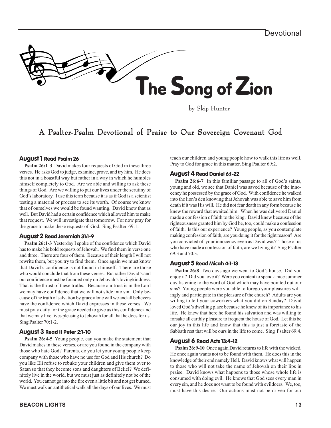

by Skip Hunter

## A Psalter-Psalm Devotional of Praise to Our Sovereign Covenant God

## August 1 Read Psalm 26

**Psalm 26:1-3** David makes four requests of God in these three verses. He asks God to judge, examine, prove, and try him. He does this not in a boastful way but rather in a way in which he humbles himself completely to God. Are we able and willing to ask these things of God. Are we willing to put our lives under the scrutiny of God's laboratory. I use this term because it is as if God is a scientist testing a material or process to see its worth. Of course we know that of ourselves we would be found wanting. David knew that as well. But David had a certain confidence which allowed him to make that request. We will investigate that tomorrow. For now pray for the grace to make these requests of God. Sing Psalter 69:1.

## August 2 Read Jeremiah 31:1-9

**Psalm 26:1-3** Yesterday I spoke of the confidence which David has to make his bold requests of Jehovah. We find them in verse one and three. There are four of them. Because of their length I will not rewrite them, but you try to find them. Once again we must know that David's confidence is not found in himself. There are those who would conclude that from these verses. But rather David's and our confidence must be founded only on Jehovah's lovingkindness. That is the thrust of these truths. Because our trust is in the Lord we may have confidence that we will not slide into sin. Only because of the truth of salvation by grace alone will we and all believers have the confidence which David expresses in these verses. We must pray daily for the grace needed to give us this confidence and that we may live lives pleasing to Jehovah for all that he does for us. Sing Psalter 70:1-2.

## August 3 Read II Peter 2:1-10

**Psalm 26:4-5** Young people, can you make the statement that David makes in these verses, or are you found in the company with those who hate God? Parents, do you let your young people keep company with those who have no use for God and His church? Do you like Eli refuse to rebuke your children and give them over to Satan so that they become sons and daughters of Beliel? We definitely live in the world, but we must just as definitely not be of the world. You cannot go into the fire even a little bit and not get burned. We must walk an antithetical walk all the days of our lives. We must teach our children and young people how to walk this life as well. Pray to God for grace in this matter. Sing Psalter 69:2.

## August 4 Read Daniel 6:1-22

**Psalm 26:6-7** In this familiar passage to all of God's saints, young and old, we see that Daniel was saved because of the innocency he possessed by the grace of God. With confidence he walked into the lion's den knowing that Jehovah was able to save him from death if it was His will. He did not fear death in any form because he knew the reward that awaited him. When he was delivered Daniel made a confession of faith to the king. David knew because of the righteousness granted him by God he, too, could make a confession of faith. Is this our experience? Young people, as you contemplate making confession of faith, are you doing it for the right reason? Are you convicted of your innocency even as David was? Those of us who have made a confession of faith, are we living it? Sing Psalter 69:3 and 70:3.

## August 5 Read Micah 4:1-13

**Psalm 26:8** Two days ago we went to God's house. Did you enjoy it? Did you love it? Were you content to spend a nice summer day listening to the word of God which may have pointed out our sins? Young people were you able to forego your pleasures willingly and participate in the pleasure of the church? Adults are you willing to tell your coworkers what you did on Sunday? David loved God's dwelling place because he knew of its importance to his life. He knew that here he found his salvation and was willing to forsake all earthly pleasure to frequent the house of God. Let this be our joy in this life and know that this is just a foretaste of the Sabbath rest that will be ours in the life to come. Sing Psalter 69:4.

## August 6 Read Acts 13:4-12

**Psalm 26:9-10** Once again David returns to life with the wicked. He once again wants not to be found with them. He does this in the knowledge of their end namely Hell. David knows what will happen to those who will not take the name of Jehovah on their lips in praise. David knows what happens to those whose whole life is consumed with doing evil. He knows that God sees every man in every sin, and he does not want to be found with evildoers. We, too, must have this desire. Our actions must not be driven for our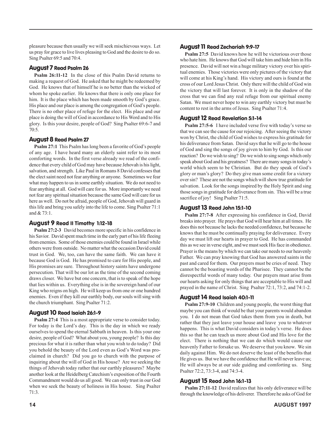pleasure because then usually we will seek mischievous ways. Let us pray for grace to live lives pleasing to God and the desire to do so. Sing Psalter 69:5 and 70:4.

## August 7 Read Psalm 26

**Psalm 26:11-12** In the close of this Psalm David returns to making a request of God. He asked that he might be redeemed by God. He knows that of himself he is no better than the wicked of whom he spoke earlier. He knows that there is only one place for him. It is the place which has been made smooth by God's grace. His place and our place is among the congregation of God's people. There is no other place of refuge for the elect. His place and our place is doing the will of God in accordance to His Word and to His glory. Is this your desire, people of God? Sing Psalter 69:6-7 and 70:5.

## August 8 Read Psalm 27

**Psalm 27:1** This Psalm has long been a favorite of God's people of any age. I have heard many an elderly saint refer to its most comforting words. In the first verse already we read of the confidence that every child of God may have because Jehovah is his light, salvation, and strength. Like Paul in Romans 8 David confesses that the elect saint need not fear anything or anyone. Sometimes we fear what may happen to us in some earthly situation. We do not need to fear anything at all. God will care for us. More importantly we need not fear any spiritual situation because the same God will care for us here as well. Do not be afraid, people of God, Jehovah will guard in this life and bring you safely into the life to come. Sing Psalter 71:1 and & 73:1.

## August 9 Read II Timothy 1:12-18

**Psalm 27:2-3** David becomes more specific in his confidence in his Savior. David spent much time in the early part of his life fleeing from enemies. Some of those enemies could be found in Israel while others were from outside. No matter what the occasion David could trust in God. We, too, can have the same faith. We can have it because God is God. He has promised to care for His people, and His promises are sure. Throughout history saints have undergone persecution. That will be our lot as the time of the second coming draws closer. We have but one concern, that is to speak of the hope that lies within us. Everything else is in the sovereign hand of our King who reigns on high. He will keep us from one or one hundred enemies. Even if they kill our earthly body, our souls will sing with the church triumphant. Sing Psalter 71:2.

## August 10 Read Isaiah 26:1-9

**Psalm 27:4** This is a most appropriate verse to consider today. For today is the Lord's day. This is the day in which we ready ourselves to spend the eternal Sabbath in heaven. Is this your one desire, people of God? What about you, young people? Is this day precious for what it is rather than what you wish to do today? Did you behold the beauty of the Lord even as God's Word was proclaimed in church? Did you go to church with the purpose of inquiring about the will of God in His house? Are we seeking the things of Jehovah today rather that our earthly pleasures? Maybe another look at the Heidelberg Catechism's exposition of the Fourth Commandment would do us all good. We can only trust in our God when we seek the beauty of holiness in His house. Sing Psalter 71:3.

**Psalm 27:5** David knows how he will be victorious over those who hate him. He knows that God will take him and hide him in His presence. David will not win a huge military victory over his spiritual enemies. Those victories were only pictures of the victory that will come at his King's hand. His victory and ours is found at the cross of our Lord Jesus Christ. Only there will the child of God win the victory that will last forever. It is only in the shadow of the cross that we can find any real refuge from our spiritual enemy Satan. We must never hope to win any earthly victory but must be content to rest in the arms of Jesus. Sing Psalter 71:4.

## August 12 Read Revelation 5:1-14

**Psalm 27:5-6** I have included verse five with today's verse so that we can see the cause for our rejoicing. After seeing the victory won by Christ, the child of God wishes to express his gratitude for his deliverance from Satan. David says that he will go to the house of God and sing the songs of joy given to him by God. Is this our reaction? Do we wish to sing? Do we wish to sing songs which only speak about God and his greatness? There are many songs in today's world which seem to be Christian. But do they speak of God's glory or man's glory? Do they give man some credit for a victory over sin? These are not the songs which will show true gratitude for salvation. Look for the songs inspired by the Holy Spirit and sing those songs in gratitude for deliverance from sin. This will be a true sacrifice of joy! Sing Psalter 71:5.

## August 13 Read John 15:1-10

**Psalm 27:7-8** After expressing his confidence in God, David breaks into prayer. He prays that God will hear him at all times. He does this not because he lacks the needed confidence, but because he knows that he must be continually praying for deliverance. Every day we must lift our hearts in prayer to God. He has commanded this as we see in verse eight, and we must seek His face in obedience. Prayer is the means by which we can take our needs to our heavenly Father. We can pray knowing that God has answered saints in the past and cared for them. Our prayers must be cries of need. They cannot be the boasting words of the Pharisee. They cannot be the disrespectful words of many today. Our prayers must arise from our hearts asking for only things that are acceptable to His will and prayed in the name of Christ. Sing Psalter 72:1, 73:2, and 74:1-2.

## August 14 Read Isaiah 40:1-11

**Psalm 27:9-10** Children and young people, the worst thing that maybe you can think of would be that your parents would abandon you. I do not mean that God takes them from you in death, but rather that they just leave your house and leave you to whatever happens. This is what David considers in today's verse. He does this so that he can teach us more about God and His love for the elect. There is nothing that we can do which would cause our heavenly Father to forsake us. We deserve that you know. We sin daily against Him. We do not deserve the least of the benefits that He gives us. But we have the confidence that He will never leave us; He will always be at our side guiding and comforting us. Sing Psalter 72:2, 73:3-4, and 74:3-4.

## August 15 Read John 16:1-13

**Psalm 27:11-12** David realizes that his only deliverance will be through the knowledge of his deliverer. Therefore he asks of God for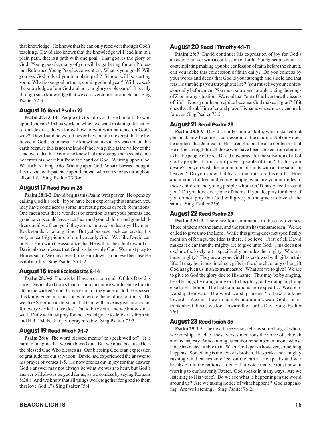that knowledge. He knows that he can only receive it through God's teaching. David also knows that the knowledge will lead him in a plain path, that is a path with one goal. That goal is the glory of God. Young people, many of you will be gathering for our Protestant Reformed Young Peoples convention. What is your goal? Will you ask God to lead you in a plain path? School will be starting soon. What is our goal in the upcoming school year? Will we seek the knowledge of our God and not our glory or pleasure? It is only through such knowledge that we can overcome sin and Satan. Sing Psalter 72:3.

## August 16 Read Psalm 27

**Psalm 27:13-14** People of God, do you have the faith to wait upon Jehovah? In this world in which we want instant gratification of our desires, do we know how to wait with patience on God's way? David said he would never have made it except that he believed in God's goodness. He knew that his victory was not on this earth because this is not the land of the living, this is the valley of the shadow of death. David also knew that the courage he needed came not from his heart but from the hand of God. Waiting upon God. What a hard thing to do. Waiting upon God. What a blessed thought! Let us wait with patience upon Jehovah who cares for us throughout all our life. Sing Psalter 73:5-6.

## August 17 Read Psalm 28

**Psalm 28:1-2** David begins this Psalm with prayer. He opens by calling God his rock. If you have been exploring this summer, you may have come across some interesting rocks or rock formations. One fact about these wonders of creation is that your parents and grandparents could have seen them and your children and grandchildren could see them yet if they are not moved or destroyed by man. Rock stands for a long time. But yet because rock can erode, it is only an earthly picture of our heavenly God. We, like David can pray to Him with the assurance that He will not be silent toward us. David also confesses that God is a heavenly God. We must pray to Him as such. We may never bring Him down to our level because He is not earthly. Sing Psalter 75:1-2.

## August 18 Read Ecclesiastes 8-14

**Psalm 28:3-5** The wicked have a certain end. Of this David is sure. David also knows that his human nature would cause him to attain the wicked's end if it were not for the grace of God. He passed this knowledge unto his son who wrote the reading for today. Do we, like Solomon understand that God will have us give an account for every work that we do? David knew sin, and we know sin as well. Daily we must pray for the needed grace to deliver us from sin and Hell. Make that your prayer today. Sing Psalter 75:3.

## August 19 Read Micah 7:1-7

**Psalm 28:6** The word blessed means "to speak well of". It is hard to imagine that we can bless God. But we must because He is the blessed One Who blesses us. Our blessing God is an expression of gratitude for our salvation. David had experienced the answer to his prayer of verses 1-5. He now breaks out in joy for that answer. God's answer may not always be what we wish to hear, but God's answer will always be good for us, as we confess by saying Romans 8:28.("And we know that all things work together for good to them that love God...") Sing Psalter 75:4.

## August 20 Read I Timothy 4:1-11

**Psalm 28:7** David continues his expression of joy for God's answer to prayer with a confession of faith. Young people who are contemplating making a public confession of faith before the church, can you make this confession of faith daily? Do you confess by your words and deeds that God is your strength and shield and that it is He that helps you throughout life? You must live your confession daily before men. You must know and be able to sing the songs of Zion in any situation. We read that "out of the heart are the issues of life". Does your heart rejoice because God makes it glad? If it does that, thank Him often and praise His name whose mercy endureth forever. Sing Psalter 75:5

## August 21 Read Psalm 28

**Psalm 28:8-9** David's confession of faith, which started out personal, now becomes a confession for the church. Not only does he confess that Jehovah is His strength, but he also confesses that He is the strength for all those who have been chosen from eternity to be the people of God. David now prays for the salvation of all of God's people. Is this your prayer, people of God? Is this your desire? Do you wish the communion of saints with all the saints in heaven? Do you show that by your actions on this earth? How about you, children and young people, what are your attitudes to those children and young people whom GOD has placed around you? Do you love every one of them? If you do, pray for them; if you do not, pray that God will give you the grace to love all the saints. Sing Psalter 75:6.

## August 22 Read Psalm 29

**Psalm 29:1-2** There are four commands in these two verses. Three of them are the same, and the fourth has the same idea. We are called to give unto the Lord. While this giving does not specifically mention offerings, the idea is there, I believe. First of all David makes it clear that the mighty are to give unto God. This does not exclude the lowly but it specifically includes the mighty. Who are these mighty? They are anyone God has endowed with gifts in this life. It may be riches, intellect, gifts in the church, or any other gift God has given us in an extra measure. What are we to give? We are to give to God the glory due to His name. This may be by singing, by offerings, by doing our work to his glory, or by doing anything else to His honor. The last command is more specific. We are to worship Jehovah. The word worship means "to bow the knee toward". We must bow in humble adoration toward God. Let us think about this as we look toward the Lord's Day. Sing Psalter 76:1.

## August 23 Read Isaiah 35

**Psalm 29:3-5** The next three verses tells us something of whom we worship. Each of these verses mentions the voice of Jehovah and its majesty. Who among us cannot remember someone whose voice has a nice timbre to it. When God speaks however, something happens! Something is moved or is broken. He speaks and a mighty rushing wind causes an effect on the earth. He speaks and war breaks out in the nations. It is to that voice that we must bow in worship to our heavenly Father. God speaks in many ways. Are we listening to His voice? Do we see what is happening in the world around us? Are we taking notice of what happens? God is speaking. Are we listening? Sing Psalter 76:2.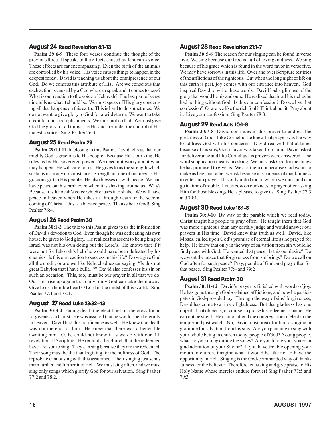## August 24 Read Revelation 8:1-13

**Psalm 29:6-9** These four verses continue the thought of the previous three. It speaks of the effects caused by Jehovah's voice. These effects are far encompassing. Even the birth of the animals are controlled by his voice. His voice causes things to happen in the deepest forest. David is teaching us about the omnipresence of our God. Do we confess this attribute of His? Are we conscious that each action is caused by a God who can speak and it comes to pass? What is our reaction to the voice of Jehovah? The last part of verse nine tells us what it should be. We must speak of His glory concerning all that happens on this earth. This is hard to do sometimes. We do not want to give glory to God for a wild storm. We want to take credit for our accomplishments. We must not do that. We must give God the glory for all things are His and are under the control of His majestic voice! Sing Psalter 76:3.

## August 25 Read Psalm 29

**Psalm 29:10-11** In closing to this Psalm, David tells us that our mighty God is gracious to His people. Because He is our king, He rules us by His sovereign power. We need not worry about what may happen. He will care for us. He gives to us the strength which sustains us in any circumstance. Strength in time of our need is His gracious gift to His people. He also blesses us with peace. We can have peace on this earth even when it is shaking around us. Why? Because it is Jehovah's voice which causes it to shake. We will have peace in heaven when He takes us through death or the second coming of Christ. This is a blessed peace. Thanks be to God! Sing Psalter 76:4.

## August 26 Read Psalm 30

**Psalm 30:1-2** The title to this Psalm gives to us the information of David's devotion to God. Even though he was dedicating his own house, he gives to God glory. He realizes his ascent to being king of Israel was not his own doing but the Lord's. He knows that if it were not for Jehovah's help he would have been defeated by his enemies. Is this our reaction to success in this life? Do we give God all the credit, or are we like Nebuchadnezzar saying, "Is this not great Babylon that I have built...?" David also confesses his sin on such an occasion. This, too, must be our prayer in all that we do. Our sins rise up against us daily; only God can take them away. Give to us a humble heart O Lord in the midst of this world. Sing Psalter 77:1 and 78:1.

## August 27 Read Luke 23:32-43

**Psalm 30:3-4** Facing death the elect thief on the cross found forgiveness in Christ. He was assured that he would spend eternity in heaven. David had this confidence as well. He knew that death was not the end for him. He knew that there was a better life awaiting him. O, he could not know it as we do with our full revelation of Scripture. He reminds the church that the redeemed have a reason to sing. They can sing because they are the redeemed. Their song must be the thanksgiving for the holiness of God. The reprobate cannot sing with this assurance. Their singing just sends them further and further into Hell. We must sing often, and we must sing only songs which glorify God for our salvation. Sing Psalter 77:2 and 78:2.

## August 28 Read Revelation 21:1-7

**Psalm 30:5-6** The reason for our singing can be found in verse five. We sing because our God is full of lovingkindness. We sing because of his grace which is found in the word favor in verse five. We may have sorrows in this life. Over and over Scripture testifies of the afflictions of the righteous. But when the long night of life on this earth is past, joy comes with our entrance into heaven. God inspired David to write these words. David had a glimpse of the glory that would be his and ours. He realized that in all his riches he had nothing without God. Is this our confession? Do we live that confession? Or are we like the rich fool? Think about it. Pray about it. Live your confession. Sing Psalter 78:3.

## August 29 Read Acts 10:1-8

**Psalm 30:7-8** David continues in this prayer to address the greatness of God. Like Cornelius he knew that prayer was the way to address God with his concerns. David realized that at times because of his sins, God's favor was taken from him. David asked for deliverance and like Cornelius his prayers were answered. The word supplication means an asking. We must ask God for the things he has promised to give us. We ask them not because God wants to make us beg, but rather we ask because it is a means of thankfulness to enter into prayer. It is only unto God to whom we must and can go in time of trouble. Let us bow on our knees in prayer often asking Him for those blessings He is pleased to give us. Sing Psalter 77:3 and 79:1.

## August 30 Read Luke 18:1-8

**Psalm 30:9-10** By way of the parable which we read today, Christ taught his people to pray often. He taught them that God was more righteous than any earthly judge and would answer our prayers in His time. David knew that truth as well. David, like Moses, called upon God's promise of eternal life as he prayed for help. He knew that only in the way of salvation from sin would he find peace with God. He wanted that peace. Is this our desire? Do we want the peace that forgiveness from sin brings? Do we call on God often for such peace? Pray, people of God, and pray often for that peace. Sing Psalter 77:4 and 79:2

## August 31 Read Psalm 30

**Psalm 30:11-12** David's prayer is finished with words of joy. He has gone through God-ordained afflictions, and now he participates in God-provided joy. Through the way of sins' forgiveness, David has come to a time of gladness. But that gladness has one object. That object is, of course, to praise his redeemer's name. He can not be silent. He cannot attend the congregation of elect in the temple and just watch. No, David must break forth into singing in gratitude for salvation from his sins. Are you planning to sing with your whole being in church today, people of God? Young people, what are your doing during the songs? Are you lifting your voices in glad adoration of your Savior? If you have trouble opening your mouth in church, imagine what it would be like not to have the opportunity in Hell. Singing is the God-commanded way of thankfulness for the believer. Therefore let us sing and give praise to His Holy Name whose mercies endure forever! Sing Psalter 77:5 and 79:3.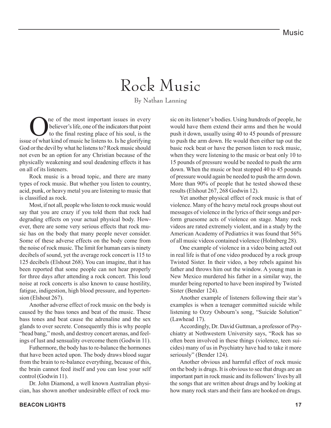## Rock Music

By Nathan Lanning

**O** ne of the most important issues in every<br>believer's life, one of the indicators that point<br>to the final resting place of his soul, is the believer's life, one of the indicators that point to the final resting place of his soul, is the issue of what kind of music he listens to. Is he glorifying God or the devil by what he listens to? Rock music should not even be an option for any Christian because of the physically weakening and soul deadening effects it has on all of its listeners.

Rock music is a broad topic, and there are many types of rock music. But whether you listen to country, acid, punk, or heavy metal you are listening to music that is classified as rock.

Most, if not all, people who listen to rock music would say that you are crazy if you told them that rock had degrading effects on your actual physical body. However, there are some very serious effects that rock music has on the body that many people never consider. Some of these adverse effects on the body come from the noise of rock music. The limit for human ears is ninety decibels of sound, yet the average rock concert is 115 to 125 decibels (Elshout 268). You can imagine, that it has been reported that some people can not hear properly for three days after attending a rock concert. This loud noise at rock concerts is also known to cause hostility, fatigue, indigestion, high blood pressure, and hypertension (Elshout 267).

Another adverse effect of rock music on the body is caused by the bass tones and beat of the music. These bass tones and beat cause the adrenaline and the sex glands to over secrete. Consequently this is why people "head bang," mosh, and destroy concert arenas, and feelings of lust and sensuality overcome them (Godwin 11).

Futhermore, the body has to re-balance the hormones that have been acted upon. The body draws blood sugar from the brain to re-balance everything, because of this, the brain cannot feed itself and you can lose your self control (Godwin 11).

Dr. John Diamond, a well known Australian physician, has shown another undesirable effect of rock music on its listener's bodies. Using hundreds of people, he would have them extend their arms and then he would push it down, usually using 40 to 45 pounds of pressure to push the arm down. He would then either tap out the basic rock beat or have the person listen to rock music, when they were listening to the music or beat only 10 to 15 pounds of pressure would be needed to push the arm down. When the music or beat stopped 40 to 45 pounds of pressure would again be needed to push the arm down. More than 90% of people that he tested showed these results (Elshout 267, 268 Godwin 12).

Yet another physical effect of rock music is that of violence. Many of the heavy metal rock groups shout out messages of violence in the lyrics of their songs and perform gruesome acts of violence on stage. Many rock videos are rated extremely violent, and in a study by the American Academy of Pediatrics it was found that 56% of all music videos contained violence (Holmberg 28).

One example of violence in a video being acted out in real life is that of one video produced by a rock group Twisted Sister. In their video, a boy rebels against his father and throws him out the window. A young man in New Mexico murdered his father in a similar way, the murder being reported to have been inspired by Twisted Sister (Bender 124).

Another example of listeners following their star's examples is when a teenager committed suicide while listening to Ozzy Osbourn's song, "Suicide Solution" (Lawhead 17).

Accordingly, Dr. David Guttman, a professor of Psychiatry at Nothwestern University says, "Rock has so often been involved in these things (violence, teen suicides) many of us in Psychiatry have had to take it more seriously" (Bender 124).

Another obvious and harmful effect of rock music on the body is drugs. It is obvious to see that drugs are an important part in rock music and its followers' lives by all the songs that are written about drugs and by looking at how many rock stars and their fans are hooked on drugs.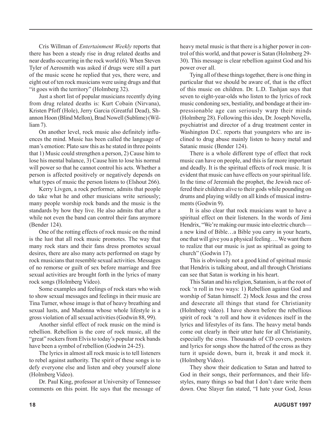Cris Willman of *Entertainment Weekly* reports that there has been a steady rise in drug related deaths and near deaths occurring in the rock world (6). When Steven Tyler of Aerosmith was asked if drugs were still a part of the music scene he replied that yes, there were, and eight out of ten rock musicians were using drugs and that "it goes with the territory" (Holmberg 32).

Just a short list of popular musicians recently dying from drug related deaths is: Kurt Cobain (Nirvana), Kristen Pfoff (Hole), Jerry Garcia (Greatful Dead), Shannon Hoon (Blind Mellon), Brad Nowell (Sublime) (William 7).

On another level, rock music also definitely influences the mind. Music has been called the language of man's emotion: Plato saw this as he stated in three points that 1) Music could strengthen a person, 2) Cause him to lose his mental balance, 3) Cause him to lose his normal will power so that he cannot control his acts. Whether a person is affected positively or negatively depends on what types of music the person listens to (Elshout 266).

Kerry Livgen, a rock performer, admits that people do take what he and other musicians write seriously; many people worship rock bands and the music is the standards by how they live. He also admits that after a while not even the band can control their fans anymore (Bender 124).

One of the rotting effects of rock music on the mind is the lust that all rock music promotes. The way that many rock stars and their fans dress promotes sexual desires, there are also many acts performed on stage by rock musicians that resemble sexual activities. Messages of no remorse or guilt of sex before marriage and free sexual activities are brought forth in the lyrics of many rock songs (Holmberg Video).

Some examples and feelings of rock stars who wish to show sexual messages and feelings in their music are Tina Turner, whose image is that of heavy breathing and sexual lusts, and Madonna whose whole lifestyle is a gross violation of all sexual activities (Godwin 88, 99).

Another sinful effect of rock music on the mind is rebellion. Rebellion is the core of rock music, all the "great" rockers from Elvis to today's popular rock bands have been a symbol of rebellion (Godwin 24-25).

The lyrics in almost all rock music is to tell listeners to rebel against authority. The spirit of these songs is to defy everyone else and listen and obey yourself alone (Holmberg Video).

Dr. Paul King, professor at University of Tennessee comments on this point. He says that the message of heavy metal music is that there is a higher power in control of this world, and that power is Satan (Holmberg 29- 30). This message is clear rebellion against God and his power over all.

Tying all of these things together, there is one thing in particular that we should be aware of, that is the effect of this music on children. Dr. L.D. Tashjan says that seven to eight-year-olds who listen to the lyrics of rock music condoning sex, bestiality, and bondage at their impressionable age can seriously warp their minds (Holmberg 28). Following this idea, Dr. Joseph Novella, psychiatrist and director of a drug treatment center in Washington D.C. reports that youngsters who are inclined to drug abuse mainly listen to heavy metal and Satanic music (Bender 124).

There is a whole different type of effect that rock music can have on people, and this is far more important and deadly. It is the spiritual effects of rock music. It is evident that music can have effects on your spiritual life. In the time of Jeremiah the prophet, the Jewish race offered their children alive to their gods while pounding on drums and playing wildly on all kinds of musical instruments (Godwin 9).

It is also clear that rock musicians want to have a spiritual effect on their listeners. In the words of Jimi Hendrix, "We're making our music into electric church a new kind of Bible…a Bible you carry in your hearts, one that will give you a physical feeling…. We want them to realize that our music is just as spiritual as going to church" (Godwin 17).

This is obviously not a good kind of spiritual music that Hendrix is talking about, and all through Christians can see that Satan is working in his heart.

This Satan and his religion, Satanism, is at the root of rock 'n roll in two ways: 1) Rebellion against God and worship of Satan himself. 2) Mock Jesus and the cross and desecrate all things that stand for Christianity (Holmberg video). I have shown before the rebellious spirit of rock 'n roll and how it evidences itself in the lyrics and lifestyles of its fans. The heavy metal bands come out clearly in their utter hate for all Christianity, especially the cross. Thousands of CD covers, posters and lyrics for songs show the hatred of the cross as they turn it upside down, burn it, break it and mock it. (Holmberg Video).

They show their dedication to Satan and hatred to God in their songs, their performances, and their lifestyles, many things so bad that I don't dare write them down. One Slayer fan stated, "I hate your God, Jesus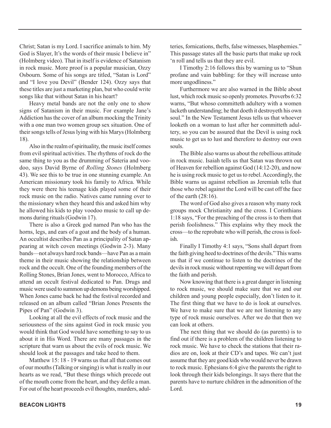Christ; Satan is my Lord. I sacrifice animals to him. My God is Slayer, It's the words of their music I believe in" (Holmberg video). That in itself is evidence of Satanism in rock music. More proof is a popular musician, Ozzy Osbourn. Some of his songs are titled, "Satan is Lord" and "I love you Devil" (Bender 124). Ozzy says that these titles are just a marketing plan, but who could write songs like that without Satan in his heart?

Heavy metal bands are not the only one to show signs of Satanism in their music. For example Jane's Addiction has the cover of an album mocking the Trinity with a one man two women group sex situation. One of their songs tells of Jesus lying with his Marys (Holmberg 18).

Also in the realm of spirituality, the music itself comes from evil spiritual activities. The rhythms of rock do the same thing to you as the drumming of Sateria and voodoo, says David Byrne of *Rolling Stones* (Holmberg 43). We see this to be true in one stunning example. An American missionary took his family to Africa. While they were there his teenage kids played some of their rock music on the radio. Natives came running over to the missionary when they heard this and asked him why he allowed his kids to play voodoo music to call up demons during rituals (Godwin 17).

There is also a Greek god named Pan who has the horns, legs, and ears of a goat and the body of a human. An occultist describes Pan as a principality of Satan appearing at witch coven meetings (Godwin 2-3). Many bands—not always hard rock bands—have Pan as a main theme in their music showing the relationship between rock and the occult. One of the founding members of the Rolling Stones, Brian Jones, went to Morocco, Africa to attend an occult festival dedicated to Pan. Drugs and music were used to summon up demons being worshipped. When Jones came back he had the festival recorded and released on an album called "Brian Jones Presents the Pipes of Pan" (Godwin 3).

Looking at all the evil effects of rock music and the seriousness of the sins against God in rock music you would think that God would have something to say to us about it in His Word. There are many passages in the scripture that warn us about the evils of rock music. We should look at the passages and take heed to them.

Matthew 15: 18 - 19 warns us that all that comes out of our mouths (Talking or singing) is what is really in our hearts as we read, "But these things which precede out of the mouth come from the heart, and they defile a man. For out of the heart proceeds evil thoughts, murders, adulteries, fornications, thefts, false witnesses, blasphemies." This passage states all the basic parts that make up rock 'n roll and tells us that they are evil.

I Timothy 2:16 follows this by warning us to "Shun profane and vain babbling: for they will increase unto more ungodliness."

Furthermore we are also warned in the Bible about lust, which rock music so openly promotes. Proverbs 6:32 warns, "But whoso committeth adultery with a women lacketh understanding; he that doeth it destroyeth his own soul." In the New Testament Jesus tells us that whoever looketh on a woman to lust after her committeth adultery, so you can be assured that the Devil is using rock music to get us to lust and therefore to destroy our own souls.

The Bible also warns us about the rebellious attitude in rock music. Isaiah tells us that Satan was thrown out of Heaven for rebellion against God (14:12-20), and now he is using rock music to get us to rebel. Accordingly, the Bible warns us against rebellion as Jeremiah tells that those who rebel against the Lord will be cast off the face of the earth (28:16).

The word of God also gives a reason why many rock groups mock Christianity and the cross. I Corinthians 1:18 says, "For the preaching of the cross is to them that perish foolishness." This explains why they mock the cross—to the reprobate who will perish, the cross is foolish.

Finally I Timothy 4:1 says, "Sons shall depart from the faith giving heed to doctrines of the devils." This warns us that if we continue to listen to the doctrines of the devils in rock music without repenting we will depart from the faith and perish.

Now knowing that there is a great danger in listening to rock music, we should make sure that we and our children and young people especially, don't listen to it. The first thing that we have to do is look at ourselves. We have to make sure that we are not listening to any type of rock music ourselves. After we do that then we can look at others.

The next thing that we should do (as parents) is to find out if there is a problem of the children listening to rock music. We have to check the stations that their radios are on, look at their CD's and tapes. We can't just assume that they are good kids who would never be drawn to rock music. Ephesians 6:4 give the parents the right to look through their kids belongings. It says there that the parents have to nurture children in the admonition of the Lord.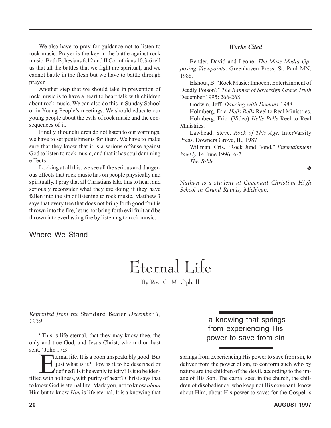We also have to pray for guidance not to listen to rock music. Prayer is the key in the battle against rock music. Both Ephesians 6:12 and II Corinthians 10:3-6 tell us that all the battles that we fight are spiritual, and we cannot battle in the flesh but we have to battle through prayer.

Another step that we should take in prevention of rock music is to have a heart to heart talk with children about rock music. We can also do this in Sunday School or in Young People's meetings. We should educate our young people about the evils of rock music and the consequences of it.

Finally, if our children do not listen to our warnings, we have to set punishments for them. We have to make sure that they know that it is a serious offense against God to listen to rock music, and that it has soul damming effects.

Looking at all this, we see all the serious and dangerous effects that rock music has on people physically and spiritually. I pray that all Christians take this to heart and seriously reconsider what they are doing if they have fallen into the sin of listening to rock music. Matthew 3 says that every tree that does not bring forth good fruit is thrown into the fire, let us not bring forth evil fruit and be thrown into everlasting fire by listening to rock music.

## Where We Stand

## *Works Cited*

Bender, David and Leone. *The Mass Media Opposing Viewpoints*. Greenhaven Press, St. Paul MN, 1988.

Elshout, B. "Rock Music: Innocent Entertainment of Deadly Poison?" *The Banner of Sovereign Grace Truth* December 1995: 266-268.

Godwin, Jeff. *Dancing with Demons* 1988.

Holmberg, Eric. *Hells Bells* Reel to Real Ministries. Holmberg, Eric. (Video) *Hells Bells* Reel to Real Ministries.

Lawhead, Steve. *Rock of This Age*. InterVarsity Press, Downers Grove, IL, 1987

Willman, Cris. "Rock Jund Bond." *Entertainment Weekly* 14 June 1996: 6-7.

*The Bible*

❖

*Nathan is a student at Covenant Christian High School in Grand Rapids, Michigan.*

*\_\_\_\_\_\_\_\_\_\_\_\_\_\_\_\_\_\_\_\_\_\_\_\_\_\_\_\_\_\_\_\_\_\_\_\_\_\_\_\_\_\_\_*

## Eternal Life

By Rev. G. M. Ophoff

*Reprinted from the* Standard Bearer *December 1, 1939.*

"This is life eternal, that they may know thee, the only and true God, and Jesus Christ, whom thou hast sent." John 17:3

Example 17.5<br>
Fourth 17.5<br>
Fourth life. It is a boon unspeakably good. But<br>
defined? Is it heavenly felicity? Is it to be idenjust what is it? How is it to be described or defined? Is it heavenly felicity? Is it to be identified with holiness, with purity of heart? Christ says that to know God is eternal life. Mark you, not to know *about* Him but to know *Him* is life eternal. It is a knowing that

 a knowing that springs from experiencing His power to save from sin

springs from experiencing His power to save from sin, to deliver from the power of sin, to conform such who by nature are the children of the devil, according to the image of His Son. The carnal seed in the church, the children of disobedience, who keep not His covenant, know about Him, about His power to save; for the Gospel is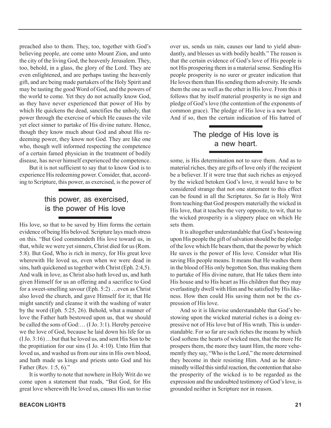preached also to them. They, too, together with God's believing people, are come unto Mount Zion, and unto the city of the living God, the heavenly Jerusalem. They, too, behold, in a glass, the glory of the Lord. They are even enlightened, and are perhaps tasting the heavenly gift, and are being made partakers of the Holy Spirit and may be tasting the good Word of God, and the powers of the world to come. Yet they do not actually know God, as they have never experienced that power of His by which He quickens the dead, sanctifies the unholy, that power through the exercise of which He causes the vile yet elect sinner to partake of His divine nature. Hence, though they know much about God and about His redeeming power, they know not God. They are like one who, though well informed respecting the competence of a certain famed physician in the treatment of bodily disease, has never himself experienced the competence.

But it is not sufficient to say that to know God is to experience His redeeming power. Consider, that, according to Scripture, this power, as exercised, is the power of

## this power, as exercised, is the power of His love

His love, so that to be saved by Him forms the certain evidence of being His beloved. Scripture lays much stress on this. "But God commendeth His love toward us, in that, while we were yet sinners, Christ died for us (Rom. 5:8). But God, Who is rich in mercy, for His great love wherewith He loved us, even when we were dead in sins, hath quickened us together with Christ (Eph. 2:4,5). And walk in love, as Christ also hath loved us, and hath given Himself for us an offering and a sacrifice to God for a sweet-smelling savour (Eph. 5:2) …even as Christ also loved the church, and gave Himself for it; that He might sanctify and cleanse it with the washing of water by the word (Eph. 5:25, 26). Behold, what a manner of love the Father hath bestowed upon us, that we should be called the sons of God:… (I Jo. 3:1). Hereby perceive we the love of God, because he laid down his life for us (I Jo. 3:16) …but that he loved us, and sent His Son to be the propitiation for our sins (I Jo. 4:10). Unto Him that loved us, and washed us from our sins in His own blood, and hath made us kings and priests unto God and his Father (Rev. 1:5, 6)."

It is worthy to note that nowhere in Holy Writ do we come upon a statement that reads, "But God, for His great love wherewith He loved us, causes His sun to rise over us, sends us rain, causes our land to yield abundantly, and blesses us with bodily health." The reason is that the certain evidence of God's love of His people is not His prospering them in a material sense. Sending His people prosperity is no surer or greater indication that He loves them than His sending them adversity. He sends them the one as well as the other in His love. From this it follows that by itself material prosperity is no sign and pledge of God's love (the contention of the exponents of common grace). The pledge of His love is a new heart. And if so, then the certain indication of His hatred of

## The pledge of His love is a new heart.

some, is His determination not to save them. And as to material riches, they are gifts of love only if the recipient be a believer. If it were true that such riches as enjoyed by the wicked betoken God's love, it would have to be considered strange that not one statement to this effect can be found in all the Scriptures. So far is Holy Writ from teaching that God prospers materially the wicked in His love, that it teaches the very opposite, to wit, that to the wicked prosperity is a slippery place on which He sets them.

It is altogether understandable that God's bestowing upon His people the gift of salvation should be the pledge of the love which He bears them, that the power by which He saves is the power of His love. Consider what His saving His people means. It means that He washes them in the blood of His only begotten Son, thus making them to partake of His divine nature, that He takes them into His house and to His heart as His children that they may everlastingly dwell with Him and be satisfied by His likeness. How then could His saving them not be the expression of His love.

And so it is likewise understandable that God's bestowing upon the wicked material riches is a doing expressive not of His love but of His wrath. This is understandable. For so far are such riches the means by which God softens the hearts of wicked men, that the more He prospers them, the more they taunt Him, the more vehemently they say, "Who is the Lord," the more determined they become in their resisting Him. And as he determinedly willed this sinful reaction, the contention that also the prosperity of the wicked is to be regarded as the expression and the undoubted testimony of God's love, is grounded neither in Scripture nor in reason.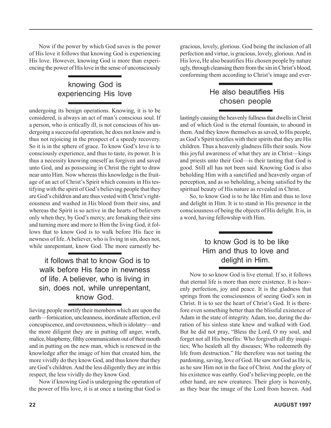Now if the power by which God saves is the power of His love it follows that knowing God is experiencing His love. However, knowing God is more than experiencing the power of His love in the sense of unconsciously

# knowing God is

undergoing its benign operations. Knowing, it is to be considered, is always an act of man's conscious soul. If a person, who is critically ill, is not conscious of his undergoing a successful operation, he does not know and is thus not rejoicing in the prospect of a speedy recovery. So it is in the sphere of grace. To know God's love is to consciously experience, and thus to taste, its power. It is thus a necessity knowing oneself as forgiven and saved unto God, and as possessing in Christ the right to draw near unto Him. Now whereas this knowledge is the fruitage of an act of Christ's Spirit which consists in His testifying with the spirit of God's believing people that they are God's children and are thus vested with Christ's righteousness and washed in His blood from their sins, and whereas the Spirit is so active in the hearts of believers only when they, by God's mercy, are forsaking their sins and turning more and more to Him the living God, it follows that to know God is to walk before His face in newness of life. A believer, who is living in sin, does not, while unrepentant, know God. The more earnestly be-

## it follows that to know God is to walk before His face in newness of life. A believer, who is living in sin, does not, while unrepentant, know God.

lieving people mortify their members which are upon the earth—fornication, uncleanness, inordinate affection, evil concupiscence, and covetousness, which is idolatry—and the more diligent they are in putting off anger, wrath, malice, blasphemy, filthy communication out of their mouth and in putting on the new man, which is renewed in the knowledge after the image of him that created him, the more vividly do they know God, and thus know that they are God's children. And the less diligently they are in this respect, the less vividly do they know God.

Now if knowing God is undergoing the operation of the power of His love, it is at once a tasting that God is

gracious, lovely, glorious. God being the inclusion of all perfection and virtue, is gracious, lovely, glorious. And in His love**,** He also beautifies His chosen people by nature ugly, through cleansing them from the sin in Christ's blood, conforming them according to Christ's image and ever-

## experiencing His love He also beautifies His chosen people

lastingly causing the heavenly fullness that dwells in Christ and of which God is the eternal fountain, to abound in them. And they know themselves as saved, to His people, as God's Spirit testifies with their spirits that they are His children. Thus a heavenly gladness fills their souls. Now this joyful awareness of what they are in Christ—kings and priests unto their God—is their tasting that God is good. Still all has not been said. Knowing God is also beholding Him with a sanctified and heavenly organ of perception, and as so beholding, a being satisfied by the spiritual beauty of His nature as revealed in Christ.

So, to know God is to be like Him and thus to love and delight in Him. It is to stand in His presence in the consciousness of being the objects of His delight. It is, in a word, having fellowship with Him.

## to know God is to be like Him and thus to love and delight in Him.

Now to so know God is live eternal. If so, it follows that eternal life is more than mere existence. It is heavenly perfection, joy and peace. It is the gladness that springs from the consciousness of seeing God's son in Christ. It is to see the heart of Christ's God. It is therefore even something better than the blissful existence of Adam in the state of integrity. Adam, too, during the duration of his sinless state knew and walked with God. But he did not pray, "Bless the Lord, O my soul, and forget not all His benefits: Who forgiveth all thy iniquities; Who healeth all thy diseases; Who redeemeth thy life from destruction." He therefore was not tasting the pardoning, saving, love of God. He saw not God as He is, as he saw Him not in the face of Christ. And the glory of his existence was earthy. God's believing people, on the other hand, are new creatures. Their glory is heavenly, as they bear the image of the Lord from heaven. And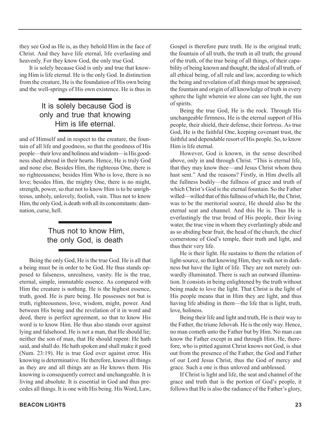they see God as He is, as they behold Him in the face of Christ. And they have life eternal, life everlasting and heavenly. For they know God, the only true God.

It is solely because God is only and true that knowing Him is life eternal. He is the only God. In distinction from the creature, He is the foundation of His own being and the well-springs of His own existence. He is thus in

## It is solely because God is only and true that knowing Him is life eternal.

and of Himself and in respect to the creature, the fountain of all life and goodness, so that the goodness of His people—their love and holiness and wisdom—is His goodness shed abroad in their hearts. Hence, He is truly God and none else. Besides Him, the righteous One, there is no righteousness; besides Him Who is love, there is no love; besides Him, the mighty One, there is no might, strength, power, so that not to know Him is to be unrighteous, unholy, unlovely, foolish, vain. Thus not to know Him, the only God, is death with all its concomitants: damnation, curse, hell.

## Thus not to know Him, the only God, is death

Being the only God, He is the true God. He is all that a being must be in order to be God. He thus stands opposed to falseness, unrealness, vanity. He is the true, eternal, simple, immutable essence. As compared with Him the creature is nothing. He is the highest essence, truth, good. He is pure being. He possesses not but is truth, righteousness, love, wisdom, might, power. And between His being and the revelation of it in word and deed, there is perfect agreement, so that to know His word is to know Him. He thus also stands over against lying and falsehood. He is not a man, that He should lie; neither the son of man, that He should repent: He hath said, and shall do. He hath spoken and shall make it good (Num. 23:19). He is true God over against error. His knowing is determinative. He therefore, knows all things as they are and all things are as He knows them. His knowing is consequently correct and unchangeable. It is living and absolute. It is essential in God and thus precedes all things. It is one with His being. His Word, Law, Gospel is therefore pure truth. He is the original truth; the fountain of all truth, the truth in all truth; the ground of the truth, of the true being of all things, of their capability of being known and thought; the ideal of all truth, of all ethical being, of all rule and law, according to which the being and revelation of all things must be appraised; the fountain and origin of all knowledge of truth in every sphere the light wherein we alone can see light, the sun of spirits.

Being the true God, He is the rock. Through His unchangeable firmness, He is the eternal support of His people, their shield, their defense, their fortress. As true God, He is the faithful One, keeping covenant trust, the faithful and dependable resort of His people. So, to know Him is life eternal.

However, God is known, in the sense described above, only in and through Christ. "This is eternal life, that they may know thee—and Jesus Christ whom thou hast sent." And the reasons? Firstly, in Him dwells all the fullness bodily—the fullness of grace and truth of which Christ's God is the eternal fountain. So the Father willed—willed that of this fullness of which He, the Christ, was to be the meritorial source, He should also be the eternal seat and channel. And this He is. Thus He is everlastingly the true bread of His people, their living water, the true vine in whom they everlastingly abide and as so abiding bear fruit, the head of the church, the chief cornerstone of God's temple, their truth and light, and thus their very life.

He is their light. He sustains to them the relation of light-source, so that knowing Him, they walk not in darkness but have the light of life. They are not merely outwardly illuminated. There is such an outward illumination. It consists in being enlightened by the truth without being made to love the light. That Christ is the light of His people means that in Him they are light, and thus having life abiding in them—the life that is light, truth, love, holiness.

Being their life and light and truth, He is their way to the Father, the triune Jehovah. He is the only way. Hence, no man cometh unto the Father but by Him. No man can know the Father except in and through Him. He, therefore, who is pitted against Christ knows not God, is shut out from the presence of the Father, the God and Father of our Lord Jesus Christ, thus the God of mercy and grace. Such a one is thus unloved and unblessed.

If Christ is light and life, the seat and channel of the grace and truth that is the portion of God's people, it follows that He is also the radiance of the Father's glory,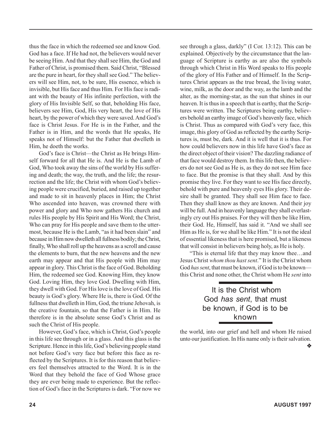thus the face in which the redeemed see and know God. God has a face. If He had not, the believers would never be seeing Him. And that they shall see Him, the God and Father of Christ, is promised them. Said Christ, "Blessed are the pure in heart, for they shall see God." The believers will see Him, not, to be sure, His essence, which is invisible, but His face and thus Him. For His face is radiant with the beauty of His infinite perfection, with the glory of His Invisible Self, so that, beholding His face, believers see Him, God, His very heart, the love of His heart, by the power of which they were saved. And God's face is Christ Jesus. For He is in the Father, and the Father is in Him, and the words that He speaks, He speaks not of Himself: but the Father that dwelleth in Him, he doeth the works.

God's face is Christ—the Christ as He brings Himself forward for all that He is. And He is the Lamb of God, Who took away the sins of the world by His suffering and death; the way, the truth, and the life; the resurrection and the life; the Christ with whom God's believing people were crucified, buried, and raised up together and made to sit in heavenly places in Him; the Christ Who ascended into heaven, was crowned there with power and glory and Who now gathers His church and rules His people by His Spirit and His Word; the Christ, Who can pray for His people and save them to the uttermost, because He is the Lamb, "as it had been slain" and because in Him now dwelleth all fullness bodily; the Christ, finally, Who shall roll up the heavens as a scroll and cause the elements to burn, that the new heavens and the new earth may appear and that His people with Him may appear in glory. This Christ is the face of God. Beholding Him, the redeemed see God. Knowing Him, they know God. Loving Him, they love God. Dwelling with Him, they dwell with God. For His love is the love of God. His beauty is God's glory. Where He is, there is God. Of the fullness that dwelleth in Him, God, the triune Jehovah, is the creative fountain, so that the Father is in Him. He therefore is in the absolute sense God's Christ and as such the Christ of His people.

However, God's face, which is Christ, God's people in this life see through or in a glass. And this glass is the Scripture. Hence in this life, God's believing people stand not before God's very face but before this face as reflected by the Scriptures. It is for this reason that believers feel themselves attracted to the Word. It is in the Word that they behold the face of God Whose grace they are ever being made to experience. But the reflection of God's face in the Scriptures is dark. "For now we see through a glass, darkly" (I Cor. 13:12). This can be explained. Objectively by the circumstance that the language of Scripture is earthy as are also the symbols through which Christ in His Word speaks to His people of the glory of His Father and of Himself. In the Scriptures Christ appears as the true bread, the living water, wine, milk, as the door and the way, as the lamb and the alter, as the morning-star, as the sun that shines in our heaven. It is thus in a speech that is earthy, that the Scriptures were written. The Scriptures being earthy, believers behold an earthy image of God's heavenly face, which is Christ. Thus as compared with God's very face, this image, this glory of God as reflected by the earthy Scriptures is, must be, dark. And it is well that it is thus. For how could believers now in this life have God's face as the direct object of their vision? The dazzling radiance of that face would destroy them. In this life then, the believers do not see God as He is, as they do not see Him face to face. But the promise is that they shall. And by this promise they live. For they want to see His face directly, behold with pure and heavenly eyes His glory. Their desire shall be granted. They shall see Him face to face. Then they shall know as they are known. And their joy will be full. And in heavenly language they shall everlastingly cry out His praises. For they will then be like Him, their God. He, Himself, has said it. "And we shall see Him as He is, for we shall be like Him." It is not the ideal of essential likeness that is here promised, but a likeness that will consist in believers being holy, as He is holy.

"This is eternal life that they may know thee…and Jesus Christ *whom thou hast sent*." It is the Christ whom God *has sent*, that must be known, if God is to be known this Christ and none other, the Christ whom He *sent* into

## It is the Christ whom God *has sent*, that must be known, if God is to be known

the world, into our grief and hell and whom He raised unto our justification. In His name only is their salvation.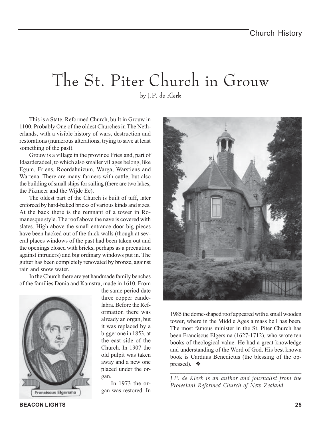# The St. Piter Church in Grouw

by J.P. de Klerk

This is a State. Reformed Church, built in Grouw in 1100. Probably One of the oldest Churches in The Netherlands, with a visible history of wars, destruction and restorations (numerous alterations, trying to save at least something of the past).

Grouw is a village in the province Friesland, part of Idaarderadeel, to which also smaller villages belong, like Egum, Friens, Roordahuizum, Warga, Warstiens and Wartena. There are many farmers with cattle, but also the building of small ships for sailing (there are two lakes, the Pikmeer and the Wijde Ee).

The oldest part of the Church is built of tuff, later enforced by hard-baked bricks of various kinds and sizes. At the back there is the remnant of a tower in Romanesque style. The roof above the nave is covered with slates. High above the small entrance door big pieces have been hacked out of the thick walls (though at several places windows of the past had been taken out and the openings closed with bricks, perhaps as a precaution against intruders) and big ordinary windows put in. The gutter has been completely renovated by bronze, against rain and snow water.

In the Church there are yet handmade family benches of the families Donia and Kamstra, made in 1610. From



the same period date three copper candelabra. Before the Reformation there was already an organ, but it was replaced by a bigger one in 1853, at the east side of the Church. In 1907 the old pulpit was taken away and a new one placed under the organ.

In 1973 the organ was restored. In



1985 the dome-shaped roof appeared with a small wooden tower, where in the Middle Ages a mass bell has been. The most famous minister in the St. Piter Church has been Franciscus Elgersma (1627-1712), who wrote ten books of theological value. He had a great knowledge and understanding of the Word of God. His best known book is Carduus Benedictus (the blessing of the oppressed). ◆

*\_\_\_\_\_\_\_\_\_\_\_\_\_\_\_\_\_\_\_\_\_\_\_\_\_\_\_\_\_\_\_\_\_\_\_\_\_\_\_\_\_\_ J.P. de Klerk is an author and journalist from the Protestant Reformed Church of New Zealand.*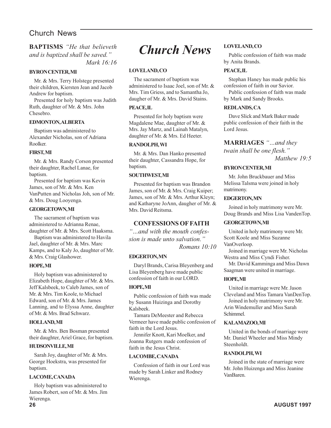## Church News

## *Church News* **BAPTISMS** *"He that believeth and is baptized shall be saved." Mark 16:16*

#### **BYRON CENTER, MI**

Mr. & Mrs. Terry Holstege presented their children, Kiersten Jean and Jacob Andrew for baptism.

Presented for holy baptism was Judith Ruth, daughter of Mr. & Mrs. John Chesebro.

## **EDMONTON, ALBERTA**

Baptism was administered to Alexander Nicholas, son of Adriana Roolker.

#### **FIRST, MI**

Mr. & Mrs. Randy Corson presented their daughter, Rachel Lanae, for baptism.

Presented for baptism was Kevin James, son of Mr. & Mrs. Ken VanPutten and Nicholas Joh, son of Mr. & Mrs. Doug Looyenga.

## **GEORGETOWN, MI**

The sacrament of baptism was administered to Adrianna Renae, daughter of Mr. & Mrs. Scott Haaksma.

Baptism was administered to Havila Jael, daughter of Mr. & Mrs. Marc Kamps, and to Kaly Jo, daughter of Mr. & Mrs. Craig Glashower.

## **HOPE, MI**

Holy baptism was administered to Elizabeth Hope, daughter of Mr. & Mrs. Jeff Kalsbeek, to Caleb James, son of Mr. & Mrs. Tim Koole, to Michael Edward, son of Mr. & Mrs. James Lanning, and to Elyssa Anne, daughter of Mr. & Mrs. Brad Schwarz.

## **HOLLAND, MI**

Mr. & Mrs. Ben Bosman presented their daughter, Ariel Grace, for baptism.

## **HUDSONVILLE, MI**

Sarah Joy, daughter of Mr. & Mrs. George Hoekstra, was presented for baptism.

## **LACOME, CANADA**

Holy baptism was administered to James Robert, son of Mr. & Mrs. Jim Wierenga.

## **LOVELAND, CO**

The sacrament of baptism was administered to Isaac Joel, son of Mr. & Mrs. Tim Griess, and to Samantha Jo, daugher of Mr. & Mrs. David Stains.

## **PEACE, IL**

Presented for holy baptism were Magdalene Mae, daughter of Mr. & Mrs. Jay Martz, and Lainah Matalyn, daughter of Mr. & Mrs. Ed Heeter.

#### **RANDOLPH, WI**

Mr. & Mrs. Dan Hanko presented their daughter, Cassandra Hope, for baptism.

#### **SOUTHWEST, MI**

Presented for baptism was Brandon James, son of Mr. & Mrs. Craig Kuiper; James, son of Mr. & Mrs. Arthur Kleyn; and Katharyne JoAnn, daugher of Mr. & Mrs. David Reitsma.

## **CONFESSIONS OF FAITH**

*"…and with the mouth confession is made unto salvation." Romans 10:10*

## **EDGERTON, MN**

Daryl Brands, Carisa Bleyenberg and Lisa Bleyenberg have made public confession of faith in our LORD.

## **HOPE, MI**

Public confession of faith was made by Susann Huizinga and Dorothy Kalsbeek.

Tamara DeMeester and Rebecca Vermeer have made public confession of faith in the Lord Jesus.

Jennifer Knott, Kari Moelker, and Joanna Rutgers made confession of faith in the Jesus Christ.

## **LACOMBE, CANADA**

Confession of faith in our Lord was made by Sarah Linker and Rodney Wierenga.

## **LOVELAND, CO**

Public confession of faith was made by Anita Brands.

#### **PEACE, IL**

Stephan Haney has made public his confession of faith in our Savior.

Public confession of faith was made by Mark and Sandy Brooks.

## **REDLANDS, CA**

Dave Slick and Mark Baker made public confession of their faith in the Lord Jesus.

## **MARRIAGES** *"…and they*

*twain shall be one flesh." Matthew 19:5*

## **BYRON CENTER, MI**

Mr. John Bruckbauer and Miss Melissa Talsma were joined in holy matrimony.

#### **EDGERTON, MN**

Joined in holy matrimony were Mr. Doug Brands and Miss Lisa VandenTop.

## **GEORGETOWN, MI**

United in holy matrimony were Mr. Scott Koole and Miss Suzanne VanOverloop.

Joined in marriage were Mr. Nicholas Westra and Miss Cyndi Fisher.

Mr. David Kamminga and Miss Dawn Saagman were united in marriage.

## **HOPE, MI**

United in marriage were Mr. Jason Cleveland and Miss Tamara VanDenTop. Joined in holy matrimony were Mr. Arin Windemuller and Miss Sarah Schimmel.

## **KALAMAZOO, MI**

United in the bonds of marriage were Mr. Daniel Wheeler and Miss Mindy Steenholdt.

#### **RANDOLPH, WI**

Joined in the state of marriage were Mr. John Huizenga and Miss Jeanine VanBaren.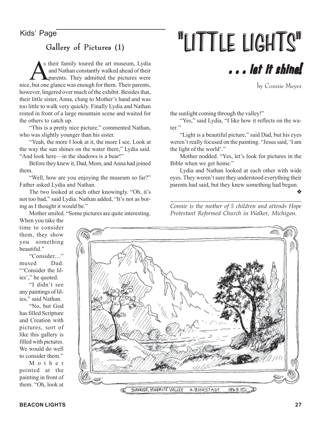## Gallery of Pictures  $(1)$

As their family toured the art museum, Lydia<br>
and Nathan constantly walked ahead of their<br>
parents. They admitted the pictures were and Nathan constantly walked ahead of their nice, but one glance was enough for them. Their parents, however, lingered over much of the exhibit. Besides that, their little sister, Anna, clung to Mother's hand and was too little to walk very quickly. Finally Lydia and Nathan rested in front of a large mountain scene and waited for the others to catch up.

"This is a pretty nice picture," commented Nathan, who was slightly younger than his sister.

"Yeah, the more I look at it, the more I see. Look at the way the sun shines on the water there," Lydia said. "And look here—in the shadows is a bear!"

Before they knew it, Dad, Mom, and Anna had joined them.

"Well, how are you enjoying the museum so far?" Father asked Lydia and Nathan.

The two looked at each other knowingly. "Oh, it's not too bad," said Lydia. Nathan added, "It's not as boring as I thought it would be."

Mother smiled. "Some pictures are quite interesting.

 $\mathcal{H}_{\text{Kids'}}$  Page  $_{\text{Galley of Pictures (1)}}$   $\blacksquare$ 



by Connie Meyer

the sunlight coming through the valley!"

"Yes," said Lydia, "I like how it reflects on the water."

"Light is a beautiful picture," said Dad, but his eyes weren't really focused on the painting. "Jesus said, 'I am the light of the world'."

Mother nodded. "Yes, let's look for pictures in the Bible when we get home."

Lydia and Nathan looked at each other with wide eyes. They weren't sure they understood everything their parents had said, but they knew something had begun.

❖

*Connie is the mother of 5 children and attends Hope Protestant Reformed Church in Walker, Michigan.*

*\_\_\_\_\_\_\_\_\_\_\_\_\_\_\_\_\_\_\_\_\_\_\_\_\_\_\_\_\_\_\_\_\_\_\_\_\_\_\_\_\_\_\_\_\_\_*

When you take the time to consider them, they show you something beautiful."

"Consider…" mused Dad. "'Consider the lilies'," he quoted.

"I didn't see any paintings of lilies," said Nathan.

"No, but God has filled Scripture and Creation with pictures, sort of like this gallery is filled with pictures. We would do well to consider them."

Mother pointed at the painting in front of them. "Oh, look at